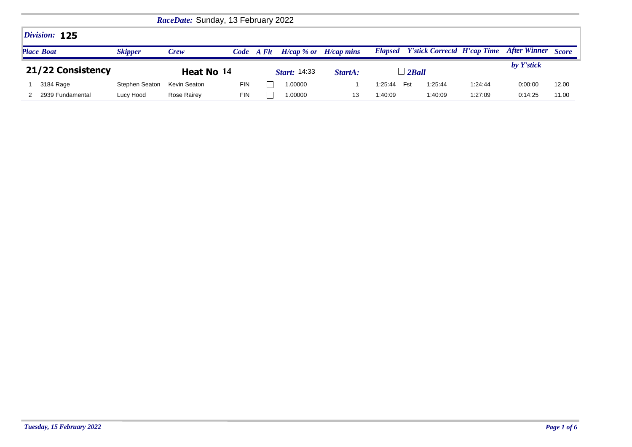|                   |                | RaceDate: Sunday, 13 February 2022 |            |       |                           |         |         |                |         |                                            |              |              |
|-------------------|----------------|------------------------------------|------------|-------|---------------------------|---------|---------|----------------|---------|--------------------------------------------|--------------|--------------|
| Division: 125     |                |                                    |            |       |                           |         |         |                |         |                                            |              |              |
| <b>Place Boat</b> | <b>Skipper</b> | <b>Crew</b>                        | Code       | A Flt | $H/cap$ % or $H/cap$ mins |         |         |                |         | <b>Elapsed</b> Y'stick Correctd H'cap Time | After Winner | <b>Score</b> |
|                   |                |                                    |            |       |                           |         |         |                |         |                                            |              |              |
| 21/22 Consistency |                | Heat No 14                         |            |       | <b>Start:</b> 14:33       | StartA: |         | $\perp$ 2 Ball |         |                                            | by Y'stick   |              |
| 3184 Rage         | Stephen Seaton | Kevin Seaton                       | <b>FIN</b> |       | 1.00000                   |         | 1:25:44 | Fst            | 1:25:44 | 1.24.44                                    | 0:00:00      | 12.00        |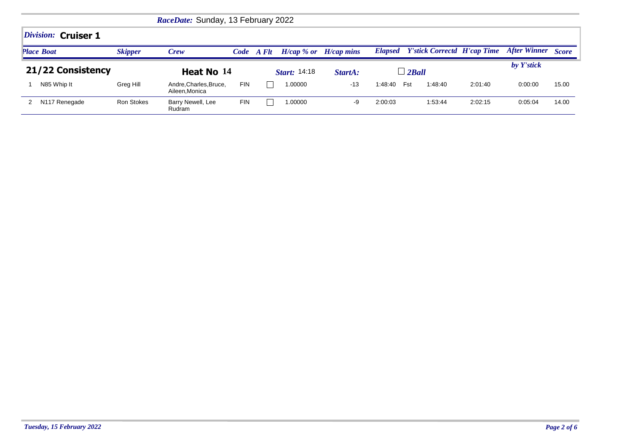|                   |                           |                   | RaceDate: Sunday, 13 February 2022      |            |       |                           |         |         |                                            |         |                     |              |
|-------------------|---------------------------|-------------------|-----------------------------------------|------------|-------|---------------------------|---------|---------|--------------------------------------------|---------|---------------------|--------------|
|                   | Division: Cruiser 1       |                   |                                         |            |       |                           |         |         |                                            |         |                     |              |
|                   | <b>Place Boat</b>         | <b>Skipper</b>    | <b>Crew</b>                             | Code       | A Flt | $H/cap$ % or $H/cap$ mins |         |         | <b>Elapsed</b> Y'stick Correctd H'cap Time |         | <b>After Winner</b> | <b>Score</b> |
| 21/22 Consistency |                           |                   | Heat No 14                              |            |       | <b>Start:</b> 14:18       | StartA: |         | $\perp$ 2 Ball                             |         | by Y'stick          |              |
|                   | N85 Whip It               | Greg Hill         | Andre, Charles, Bruce,<br>Aileen.Monica | <b>FIN</b> |       | 1.00000                   | $-13$   | 1:48:40 | Fst<br>1:48:40                             | 2:01:40 | 0:00:00             | 15.00        |
|                   | N <sub>117</sub> Renegade | <b>Ron Stokes</b> | Barry Newell, Lee<br>Rudram             | <b>FIN</b> |       | 1.00000                   | -9      | 2:00:03 | 1:53:44                                    | 2:02:15 | 0:05:04             | 14.00        |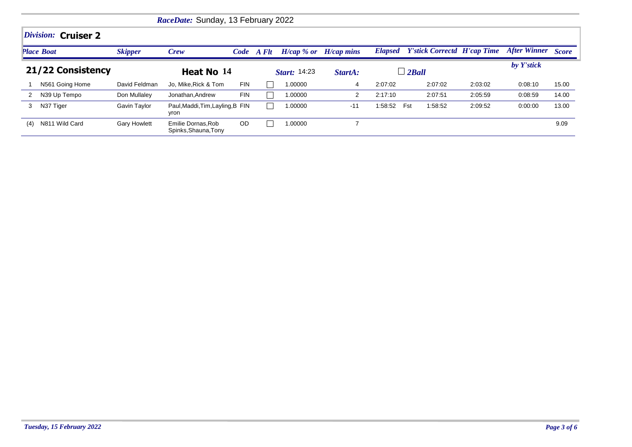|                   | RaceDate: Sunday, 13 February 2022 |                     |                                           |            |                     |                           |         |                   |                                    |         |                           |       |  |
|-------------------|------------------------------------|---------------------|-------------------------------------------|------------|---------------------|---------------------------|---------|-------------------|------------------------------------|---------|---------------------------|-------|--|
|                   | Division: Cruiser 2                |                     |                                           |            |                     |                           |         |                   |                                    |         |                           |       |  |
|                   | <b>Place Boat</b>                  | <b>Skipper</b>      | <b>Crew</b>                               |            | Code A Flt          | $H/cap$ % or $H/cap$ mins |         | <b>Elapsed</b>    | <b>Y'stick Correctd H'cap Time</b> |         | <b>After Winner Score</b> |       |  |
| 21/22 Consistency |                                    |                     | Heat No 14                                |            | <b>Start: 14:23</b> |                           | StartA: | $\lrcorner$ 2Ball |                                    |         | by Y'stick                |       |  |
|                   | N561 Going Home                    | David Feldman       | Jo, Mike, Rick & Tom                      | <b>FIN</b> |                     | 1.00000                   | 4       | 2:07:02           | 2:07:02                            | 2:03:02 | 0:08:10                   | 15.00 |  |
|                   | N39 Up Tempo                       | Don Mullaley        | Jonathan, Andrew                          | <b>FIN</b> |                     | 1.00000                   | 2       | 2:17:10           | 2:07:51                            | 2:05:59 | 0:08:59                   | 14.00 |  |
| 3                 | N37 Tiger                          | Gavin Taylor        | Paul, Maddi, Tim, Layling, B FIN<br>yron  |            |                     | 1.00000                   | $-11$   | 1:58:52           | 1:58:52<br>Fst                     | 2:09:52 | 0:00:00                   | 13.00 |  |
| (4)               | N811 Wild Card                     | <b>Gary Howlett</b> | Emilie Dornas.Rob<br>Spinks, Shauna, Tony | <b>OD</b>  |                     | 1.00000                   | ⇁       |                   |                                    |         |                           | 9.09  |  |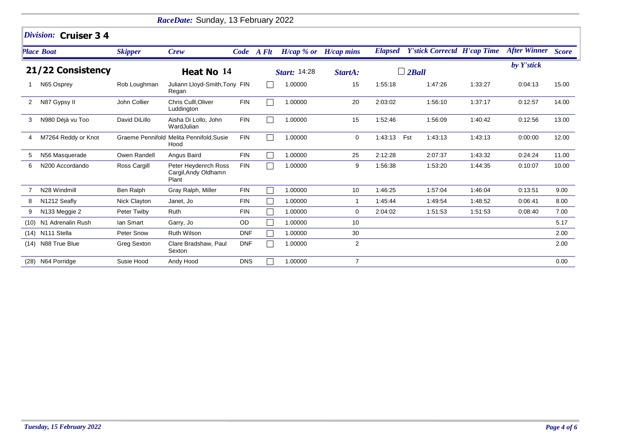|                   |                             |                | RaceDate: Sunday, 13 February 2022                    |            |            |                           |                |                |                                    |         |                           |       |  |  |  |
|-------------------|-----------------------------|----------------|-------------------------------------------------------|------------|------------|---------------------------|----------------|----------------|------------------------------------|---------|---------------------------|-------|--|--|--|
|                   | Division: Cruiser 3 4       |                |                                                       |            |            |                           |                |                |                                    |         |                           |       |  |  |  |
|                   | <b>Place Boat</b>           | <b>Skipper</b> | <b>Crew</b>                                           |            | Code A Flt | $H/cap$ % or $H/cap$ mins |                | <b>Elapsed</b> | <b>Y'stick Correctd H'cap Time</b> |         | <b>After Winner Score</b> |       |  |  |  |
| 21/22 Consistency |                             |                | Heat No 14                                            |            |            | <b>Start: 14:28</b>       | StartA:        |                | $\Box$ 2Ball                       |         | by Y'stick                |       |  |  |  |
|                   | N65 Osprey                  | Rob Loughman   | Juliann Lloyd-Smith, Tony FIN<br>Regan                |            |            | 1.00000                   | 15             | 1:55:18        | 1:47:26                            | 1:33:27 | 0:04:13                   | 15.00 |  |  |  |
| 2                 | N87 Gypsy II                | John Collier   | Chris Culll, Oliver<br>Luddington                     | <b>FIN</b> |            | 1.00000                   | 20             | 2:03:02        | 1:56:10                            | 1:37:17 | 0:12:57                   | 14.00 |  |  |  |
| 3                 | N980 Déjà vu Too            | David DiLillo  | Aisha Di Lollo, John<br>WardJulian                    | <b>FIN</b> |            | 1.00000                   | 15             | 1:52:46        | 1:56:09                            | 1:40:42 | 0:12:56                   | 13.00 |  |  |  |
| 4                 | M7264 Reddy or Knot         |                | Graeme Pennifold Melita Pennifold, Susie<br>Hood      | <b>FIN</b> |            | 1.00000                   | 0              | 1:43:13        | Fst<br>1:43:13                     | 1:43:13 | 0:00:00                   | 12.00 |  |  |  |
| 5                 | N56 Masquerade              | Owen Randell   | Angus Baird                                           | <b>FIN</b> |            | 1.00000                   | 25             | 2:12:28        | 2:07:37                            | 1:43:32 | 0:24:24                   | 11.00 |  |  |  |
| 6                 | N <sub>200</sub> Accordando | Ross Cargill   | Peter Heydenrch Ross<br>Cargil, Andy Oldhamn<br>Plant | <b>FIN</b> |            | 1.00000                   | 9              | 1:56:38        | 1:53:20                            | 1:44:35 | 0:10:07                   | 10.00 |  |  |  |
|                   | N28 Windmill                | Ben Ralph      | Gray Ralph, Miller                                    | <b>FIN</b> |            | 1.00000                   | 10             | 1:46:25        | 1:57:04                            | 1:46:04 | 0.13.51                   | 9.00  |  |  |  |
| 8                 | N <sub>1212</sub> Seafly    | Nick Clayton   | Janet, Jo                                             | <b>FIN</b> |            | 1.00000                   | 1              | 1:45:44        | 1:49:54                            | 1:48:52 | 0:06:41                   | 8.00  |  |  |  |
| 9                 | N133 Meggie 2               | Peter Twiby    | Ruth                                                  | <b>FIN</b> |            | 1.00000                   | 0              | 2:04:02        | 1:51:53                            | 1:51:53 | 0:08:40                   | 7.00  |  |  |  |
|                   | (10) N1 Adrenalin Rush      | lan Smart      | Garry, Jo                                             | OD         |            | 1.00000                   | 10             |                |                                    |         |                           | 5.17  |  |  |  |
|                   | (14) N111 Stella            | Peter Snow     | <b>Ruth Wilson</b>                                    | <b>DNF</b> |            | 1.00000                   | 30             |                |                                    |         |                           | 2.00  |  |  |  |
|                   | (14) N88 True Blue          | Greg Sexton    | Clare Bradshaw, Paul<br>Sexton                        | <b>DNF</b> |            | 1.00000                   | $\overline{c}$ |                |                                    |         |                           | 2.00  |  |  |  |
|                   | (28) N64 Porridge           | Susie Hood     | Andy Hood                                             | <b>DNS</b> |            | 1.00000                   | $\overline{7}$ |                |                                    |         |                           | 0.00  |  |  |  |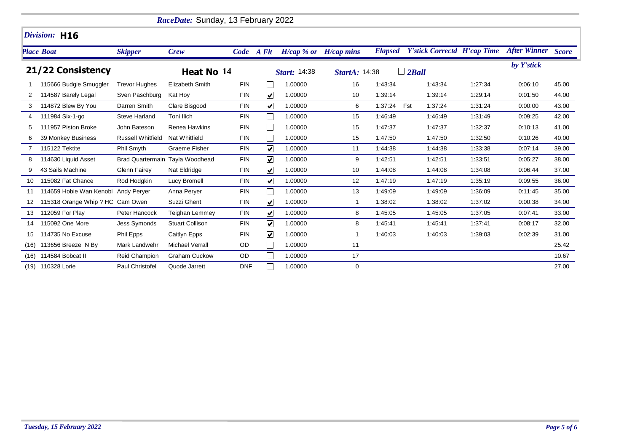|      |                                     |                          | RaceDate: Sunday, 13 February 2022 |            |                         |                           |               |                |                                    |         |                    |       |
|------|-------------------------------------|--------------------------|------------------------------------|------------|-------------------------|---------------------------|---------------|----------------|------------------------------------|---------|--------------------|-------|
|      | Division: H16                       |                          |                                    |            |                         |                           |               |                |                                    |         |                    |       |
|      | <b>Place Boat</b>                   | <b>Skipper</b>           | <b>Crew</b>                        |            | Code A Flt              | $H/cap$ % or $H/cap$ mins |               | <b>Elapsed</b> | <b>Y'stick Correctd H'cap Time</b> |         | After Winner Score |       |
|      | 21/22 Consistency                   |                          | Heat No 14                         |            |                         | <b>Start: 14:38</b>       | StartA: 14:38 |                | $\Box$ 2Ball                       |         | by Y'stick         |       |
|      | 115666 Budgie Smuggler              | <b>Trevor Hughes</b>     | Elizabeth Smith                    | <b>FIN</b> |                         | 1.00000                   | 16            | 1:43:34        | 1:43:34                            | 1:27:34 | 0.06:10            | 45.00 |
|      | 114587 Barely Legal                 | Sven Paschburg           | Kat Hoy                            | <b>FIN</b> | $\overline{\mathbf{v}}$ | 1.00000                   | 10            | 1:39:14        | 1:39:14                            | 1:29:14 | 0:01:50            | 44.00 |
|      | 114872 Blew By You                  | Darren Smith             | Clare Bisgood                      | <b>FIN</b> | $\overline{\mathbf{v}}$ | 1.00000                   | 6             | 1:37:24        | Fst<br>1:37:24                     | 1:31:24 | 0:00:00            | 43.00 |
|      | 111984 Six-1-go                     | <b>Steve Harland</b>     | Toni Ilich                         | <b>FIN</b> |                         | 1.00000                   | 15            | 1:46:49        | 1:46:49                            | 1:31:49 | 0:09:25            | 42.00 |
| 5    | 111957 Piston Broke                 | John Bateson             | <b>Renea Hawkins</b>               | <b>FIN</b> |                         | 1.00000                   | 15            | 1:47:37        | 1:47:37                            | 1:32:37 | 0:10:13            | 41.00 |
| 6    | 39 Monkey Business                  | <b>Russell Whitfield</b> | Nat Whitfield                      | <b>FIN</b> |                         | 1.00000                   | 15            | 1:47:50        | 1:47:50                            | 1:32:50 | 0:10:26            | 40.00 |
|      | 115122 Tektite                      | Phil Smyth               | <b>Graeme Fisher</b>               | <b>FIN</b> | $\overline{\mathbf{v}}$ | 1.00000                   | 11            | 1:44:38        | 1:44:38                            | 1:33:38 | 0:07:14            | 39.00 |
| 8    | 114630 Liquid Asset                 |                          | Brad Quartermain Tayla Woodhead    | <b>FIN</b> | $\blacktriangledown$    | 1.00000                   | 9             | 1:42:51        | 1:42:51                            | 1:33:51 | 0:05:27            | 38.00 |
| 9    | 43 Sails Machine                    | <b>Glenn Fairey</b>      | Nat Eldridge                       | <b>FIN</b> | $\blacktriangledown$    | 1.00000                   | 10            | 1:44:08        | 1:44:08                            | 1:34:08 | 0:06:44            | 37.00 |
| 10   | 115082 Fat Chance                   | Rod Hodgkin              | Lucy Bromell                       | <b>FIN</b> | $\overline{\mathbf{v}}$ | 1.00000                   | 12            | 1:47:19        | 1:47:19                            | 1:35:19 | 0:09:55            | 36.00 |
| 11   | 114659 Hobie Wan Kenobi Andy Peryer |                          | Anna Perver                        | <b>FIN</b> |                         | 1.00000                   | 13            | 1:49:09        | 1:49:09                            | 1:36:09 | 0:11:45            | 35.00 |
| 12   | 115318 Orange Whip ? HC Cam Owen    |                          | Suzzi Ghent                        | FIN        | $\blacktriangledown$    | 1.00000                   | $\mathbf 1$   | 1:38:02        | 1:38:02                            | 1:37:02 | 0:00:38            | 34.00 |
| 13   | 112059 For Play                     | Peter Hancock            | <b>Teighan Lemmey</b>              | <b>FIN</b> | $\blacktriangledown$    | 1.00000                   | 8             | 1:45:05        | 1:45:05                            | 1:37:05 | 0:07:41            | 33.00 |
| 14   | 115092 One More                     | <b>Jess Symonds</b>      | <b>Stuart Collison</b>             | <b>FIN</b> | $\overline{\mathbf{v}}$ | 1.00000                   | 8             | 1:45:41        | 1:45:41                            | 1:37:41 | 0:08:17            | 32.00 |
| 15   | 114735 No Excuse                    | Phil Epps                | Caitlyn Epps                       | <b>FIN</b> | $\overline{\mathbf{v}}$ | 1.00000                   | 1             | 1:40:03        | 1:40:03                            | 1:39:03 | 0:02:39            | 31.00 |
| (16) | 113656 Breeze N By                  | Mark Landwehr            | <b>Michael Verrall</b>             | OD         |                         | 1.00000                   | 11            |                |                                    |         |                    | 25.42 |
| (16) | 114584 Bobcat II                    | Reid Champion            | <b>Graham Cuckow</b>               | OD         |                         | 1.00000                   | 17            |                |                                    |         |                    | 10.67 |
| (19) | 110328 Lorie                        | Paul Christofel          | Quode Jarrett                      | <b>DNF</b> |                         | 1.00000                   | 0             |                |                                    |         |                    | 27.00 |